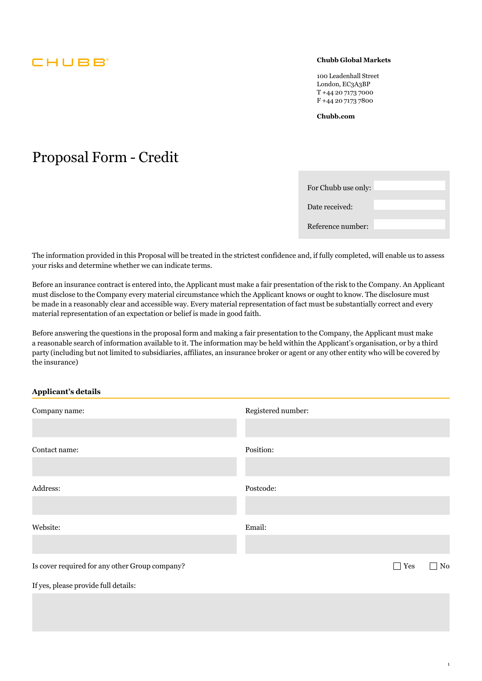# **CHUBB**

#### **Chubb Global Markets**

100 Leadenhall Street London, EC3A3BP T +44 20 7173 7000 F +44 20 7173 7800

**[Chubb.com](https://Chubb.com)** 

# Proposal Form - Credit

| For Chubb use only: |  |
|---------------------|--|
| Date received:      |  |
| Reference number:   |  |

The information provided in this Proposal will be treated in the strictest confidence and, if fully completed, will enable us to assess your risks and determine whether we can indicate terms.

Before an insurance contract is entered into, the Applicant must make a fair presentation of the risk to the Company. An Applicant must disclose to the Company every material circumstance which the Applicant knows or ought to know. The disclosure must be made in a reasonably clear and accessible way. Every material representation of fact must be substantially correct and every material representation of an expectation or belief is made in good faith.

Before answering the questions in the proposal form and making a fair presentation to the Company, the Applicant must make a reasonable search of information available to it. The information may be held within the Applicant's organisation, or by a third party (including but not limited to subsidiaries, affiliates, an insurance broker or agent or any other entity who will be covered by the insurance)

#### **Applicant's details**

| Company name:                                  | Registered number: |    |
|------------------------------------------------|--------------------|----|
|                                                |                    |    |
| Contact name:                                  | Position:          |    |
|                                                |                    |    |
| Address:                                       | Postcode:          |    |
|                                                |                    |    |
| Website:                                       | Email:             |    |
|                                                |                    |    |
| Is cover required for any other Group company? | $\Box$ Yes         | No |
| If yes, please provide full details:           |                    |    |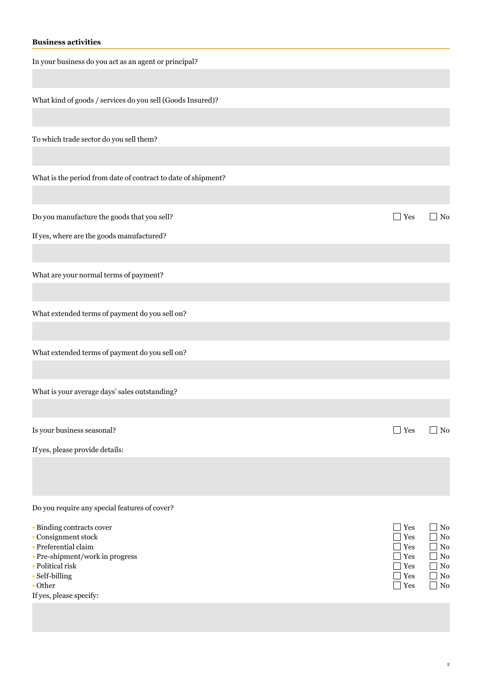# **Business activities**

| In your business do you act as an agent or principal?         |                          |           |
|---------------------------------------------------------------|--------------------------|-----------|
|                                                               |                          |           |
| What kind of goods / services do you sell (Goods Insured)?    |                          |           |
|                                                               |                          |           |
| To which trade sector do you sell them?                       |                          |           |
|                                                               |                          |           |
| What is the period from date of contract to date of shipment? |                          |           |
|                                                               |                          |           |
| Do you manufacture the goods that you sell?                   | $\Box$ Yes               | $\Box$ No |
| If yes, where are the goods manufactured?                     |                          |           |
|                                                               |                          |           |
| What are your normal terms of payment?                        |                          |           |
|                                                               |                          |           |
| What extended terms of payment do you sell on?                |                          |           |
|                                                               |                          |           |
| What extended terms of payment do you sell on?                |                          |           |
|                                                               |                          |           |
| What is your average days' sales outstanding?                 |                          |           |
|                                                               |                          |           |
| Is your business seasonal?                                    | $\Box$ Yes               | $\Box$ No |
| If yes, please provide details:                               |                          |           |
|                                                               |                          |           |
|                                                               |                          |           |
| Do you require any special features of cover?                 |                          |           |
| • Binding contracts cover<br>· Consignment stock              | $\Box$ Yes<br>$\Box$ Yes | No<br>No  |
| • Preferential claim<br>• Pre-shipment/work in progress       | $\Box$ Yes<br>$\Box$ Yes | No<br>No  |
| • Political risk                                              | $\Box$ Yes<br>$\Box$ Yes | No        |
| · Self-billing<br>$\bullet$ Other<br>If yes, please specify:  | $\Box$ Yes               | No<br>No  |
|                                                               |                          |           |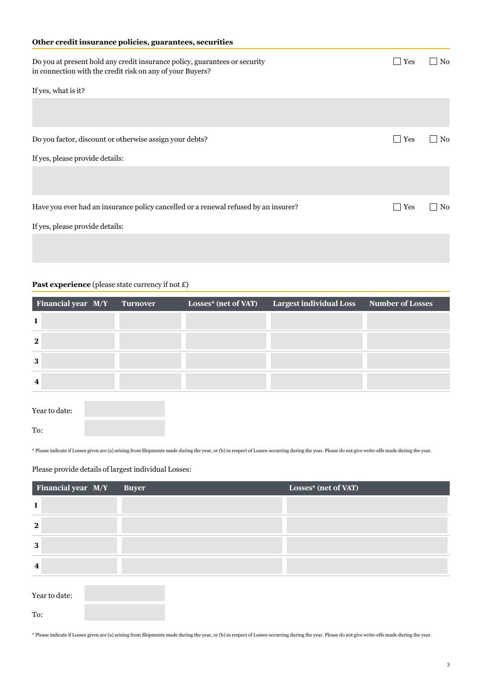#### **Other credit insurance policies, guarantees, securities**

| Do you at present hold any credit insurance policy, guarantees or security<br>in connection with the credit risk on any of your Buyers? | Yes<br>$\Box$ | N <sub>0</sub> |
|-----------------------------------------------------------------------------------------------------------------------------------------|---------------|----------------|
| If yes, what is it?                                                                                                                     |               |                |
|                                                                                                                                         |               |                |
| Do you factor, discount or otherwise assign your debts?                                                                                 | $ $ Yes       | N <sub>0</sub> |
| If yes, please provide details:                                                                                                         |               |                |
|                                                                                                                                         |               |                |
| Have you ever had an insurance policy cancelled or a renewal refused by an insurer?                                                     | Yes           | No             |
| If yes, please provide details:                                                                                                         |               |                |
|                                                                                                                                         |               |                |

#### Past experience (please state currency if not £)

| <b>Financial year M/Y</b> | <b>Turnover</b> | <b>Losses*</b> (net of VAT) | Largest individual Loss Number of Losses |  |
|---------------------------|-----------------|-----------------------------|------------------------------------------|--|
|                           |                 |                             |                                          |  |
| $\bf{2}$                  |                 |                             |                                          |  |
| 3                         |                 |                             |                                          |  |
| $\boldsymbol{4}$          |                 |                             |                                          |  |
|                           |                 |                             |                                          |  |

Year to date: To:

\* Please indicate if Losses given are (a) arising from Shipments made during the year, or (b) in respect of Losses occurring during the year. Please do not give write-offs made during the year.

#### Please provide details of largest individual Losses:

| Financial year M/Y   | <b>Buyer</b> | Losses* (net of VAT) |
|----------------------|--------------|----------------------|
| 1                    |              |                      |
| $\mathbf{2}$         |              |                      |
| 3                    |              |                      |
| $\boldsymbol{4}$     |              |                      |
| Year to date:<br>To: |              |                      |

\* Please indicate if Losses given are (a) arising from Shipments made during the year, or (b) in respect of Losses occurring during the year. Please do not give write-offs made during the year.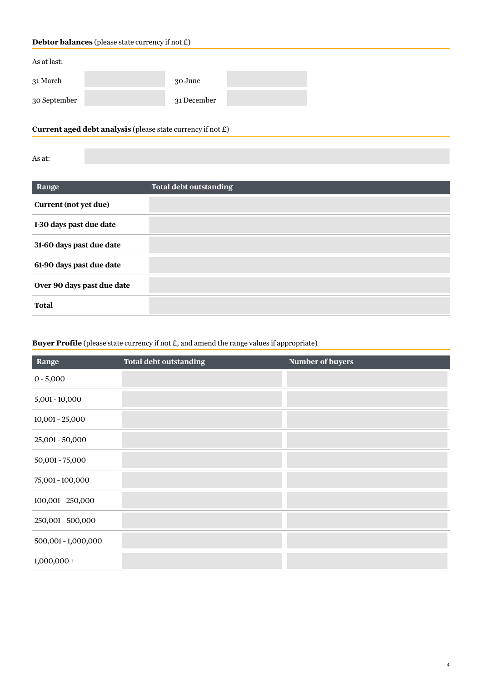# **Debtor balances** (please state currency if not £)

| As at last:  |             |  |
|--------------|-------------|--|
| 31 March     | 30 June     |  |
| 30 September | 31 December |  |

## **Current aged debt analysis** (please state currency if not £)

As at:

| Range                      | <b>Total debt outstanding</b> |
|----------------------------|-------------------------------|
| Current (not yet due)      |                               |
| 1-30 days past due date    |                               |
| 31-60 days past due date   |                               |
| 61-90 days past due date   |                               |
| Over 90 days past due date |                               |
| <b>Total</b>               |                               |

| Range               | <b>Total debt outstanding</b> | <b>Number of buyers</b> |
|---------------------|-------------------------------|-------------------------|
| $0 - 5,000$         |                               |                         |
| 5,001 - 10,000      |                               |                         |
| $10,001 - 25,000$   |                               |                         |
| 25,001 - 50,000     |                               |                         |
| $50,001 - 75,000$   |                               |                         |
| 75,001 - 100,000    |                               |                         |
| 100,001 - 250,000   |                               |                         |
| 250,001 - 500,000   |                               |                         |
| 500,001 - 1,000,000 |                               |                         |
| $1,000,000+$        |                               |                         |

## **Buyer Profile** (please state currency if not £, and amend the range values if appropriate)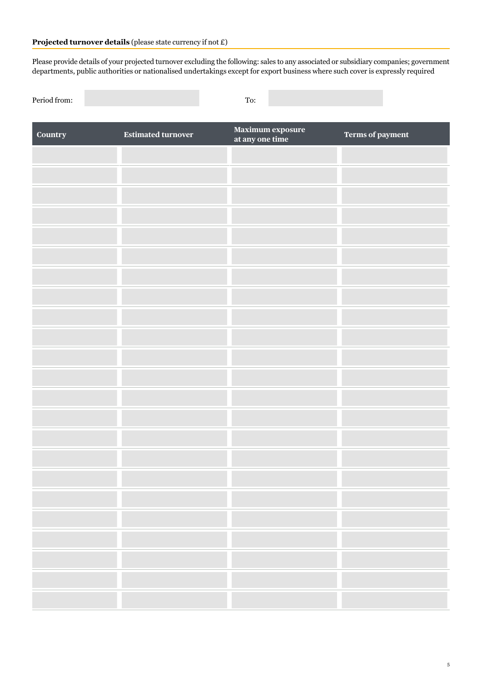#### **Projected turnover details** (please state currency if not £)

Please provide details of your projected turnover excluding the following: sales to any associated or subsidiary companies; government departments, public authorities or nationalised undertakings except for export business where such cover is expressly required

Period from: To:

| Country | <b>Estimated turnover</b> | <b>Maximum exposure<br/>at any one time</b> | Terms of payment |
|---------|---------------------------|---------------------------------------------|------------------|
|         |                           |                                             |                  |
|         |                           |                                             |                  |
|         |                           |                                             |                  |
|         |                           |                                             |                  |
|         |                           |                                             |                  |
|         |                           |                                             |                  |
|         |                           |                                             |                  |
|         |                           |                                             |                  |
|         |                           |                                             |                  |
|         |                           |                                             |                  |
|         |                           |                                             |                  |
|         |                           |                                             |                  |
|         |                           |                                             |                  |
|         |                           |                                             |                  |
|         |                           |                                             |                  |
|         |                           |                                             |                  |
|         |                           |                                             |                  |
|         |                           |                                             |                  |
|         |                           |                                             |                  |
|         |                           |                                             |                  |
|         |                           |                                             |                  |
|         |                           |                                             |                  |
|         |                           |                                             |                  |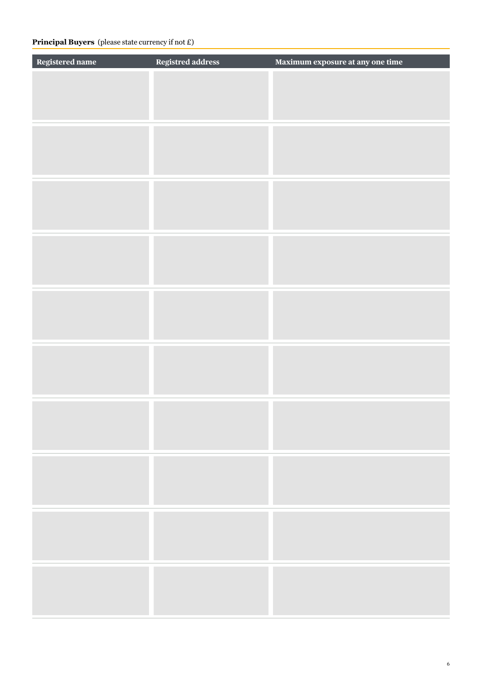# **Principal Buyers** (please state currency if not £)

| Registered name | Registred address | Maximum exposure at any one time |
|-----------------|-------------------|----------------------------------|
|                 |                   |                                  |
|                 |                   |                                  |
|                 |                   |                                  |
|                 |                   |                                  |
|                 |                   |                                  |
|                 |                   |                                  |
|                 |                   |                                  |
|                 |                   |                                  |
|                 |                   |                                  |
|                 |                   |                                  |
|                 |                   |                                  |
|                 |                   |                                  |
|                 |                   |                                  |
|                 |                   |                                  |
|                 |                   |                                  |
|                 |                   |                                  |
|                 |                   |                                  |
|                 |                   |                                  |
|                 |                   |                                  |
|                 |                   |                                  |
|                 |                   |                                  |
|                 |                   |                                  |
|                 |                   |                                  |
|                 |                   |                                  |
|                 |                   |                                  |
|                 |                   |                                  |
|                 |                   |                                  |
|                 |                   |                                  |
|                 |                   |                                  |
|                 |                   |                                  |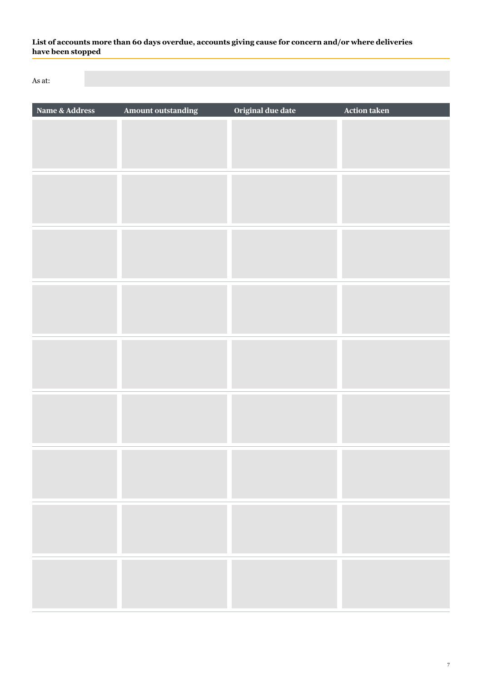#### **List of accounts more than 60 days overdue, accounts giving cause for concern and/or where deliveries have been stopped**

As at:

| Name & Address | <b>Amount outstanding</b> | Original due date | <b>Action taken</b> |
|----------------|---------------------------|-------------------|---------------------|
|                |                           |                   |                     |
|                |                           |                   |                     |
|                |                           |                   |                     |
|                |                           |                   |                     |
|                |                           |                   |                     |
|                |                           |                   |                     |
|                |                           |                   |                     |
|                |                           |                   |                     |
|                |                           |                   |                     |
|                |                           |                   |                     |
|                |                           |                   |                     |
|                |                           |                   |                     |
|                |                           |                   |                     |
|                |                           |                   |                     |
|                |                           |                   |                     |
|                |                           |                   |                     |
|                |                           |                   |                     |
|                |                           |                   |                     |
|                |                           |                   |                     |
|                |                           |                   |                     |
|                |                           |                   |                     |
|                |                           |                   |                     |
|                |                           |                   |                     |
|                |                           |                   |                     |
|                |                           |                   |                     |
|                |                           |                   |                     |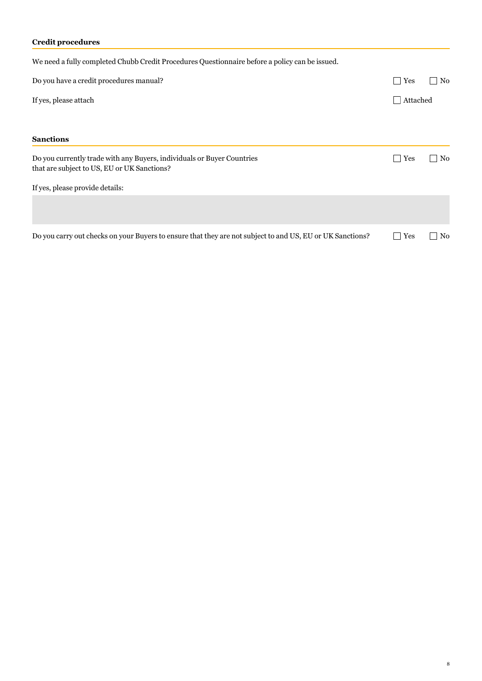## **Credit procedures**

| We need a fully completed Chubb Credit Procedures Questionnaire before a policy can be issued.                        |                       |                |
|-----------------------------------------------------------------------------------------------------------------------|-----------------------|----------------|
| Do you have a credit procedures manual?                                                                               | Yes<br>$\blacksquare$ | No             |
| If yes, please attach                                                                                                 | Attached              |                |
|                                                                                                                       |                       |                |
| <b>Sanctions</b>                                                                                                      |                       |                |
| Do you currently trade with any Buyers, individuals or Buyer Countries<br>that are subject to US, EU or UK Sanctions? | Yes                   | No             |
| If yes, please provide details:                                                                                       |                       |                |
|                                                                                                                       |                       |                |
| Do you carry out checks on your Buyers to ensure that they are not subject to and US, EU or UK Sanctions?             | Yes                   | N <sub>0</sub> |

8